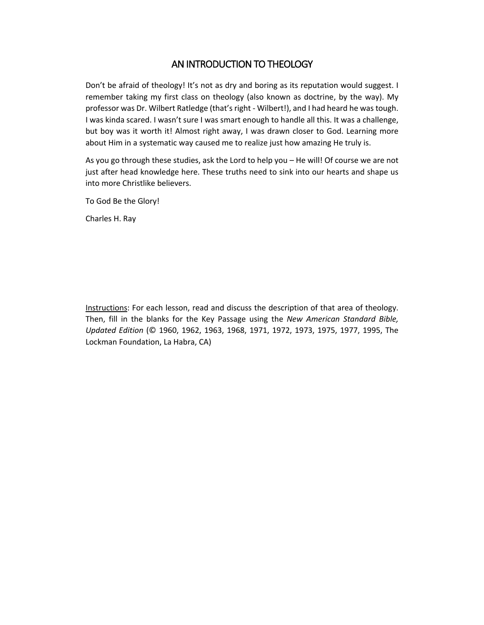### AN INTRODUCTION TO THEOLOGY

Don't be afraid of theology! It's not as dry and boring as its reputation would suggest. I remember taking my first class on theology (also known as doctrine, by the way). My professor was Dr. Wilbert Ratledge (that's right - Wilbert!), and I had heard he was tough. I was kinda scared. I wasn't sure I was smart enough to handle all this. It was a challenge, but boy was it worth it! Almost right away, I was drawn closer to God. Learning more about Him in a systematic way caused me to realize just how amazing He truly is.

As you go through these studies, ask the Lord to help you – He will! Of course we are not just after head knowledge here. These truths need to sink into our hearts and shape us into more Christlike believers.

To God Be the Glory!

Charles H. Ray

Instructions: For each lesson, read and discuss the description of that area of theology. Then, fill in the blanks for the Key Passage using the *New American Standard Bible, Updated Edition* (© 1960, 1962, 1963, 1968, 1971, 1972, 1973, 1975, 1977, 1995, The Lockman Foundation, La Habra, CA)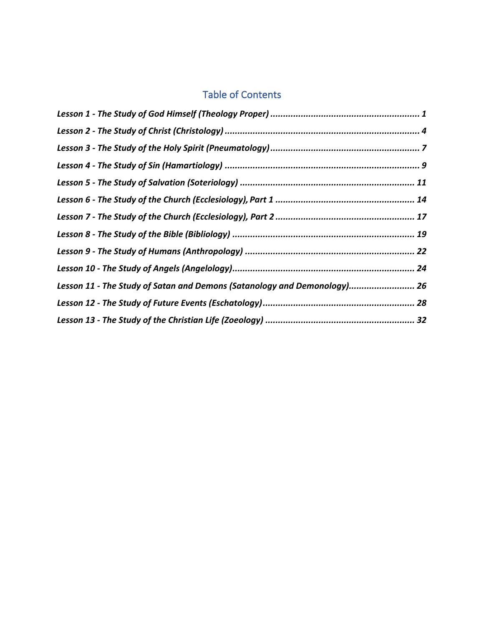## Table of Contents

| Lesson 11 - The Study of Satan and Demons (Satanology and Demonology) 26 |  |
|--------------------------------------------------------------------------|--|
|                                                                          |  |
|                                                                          |  |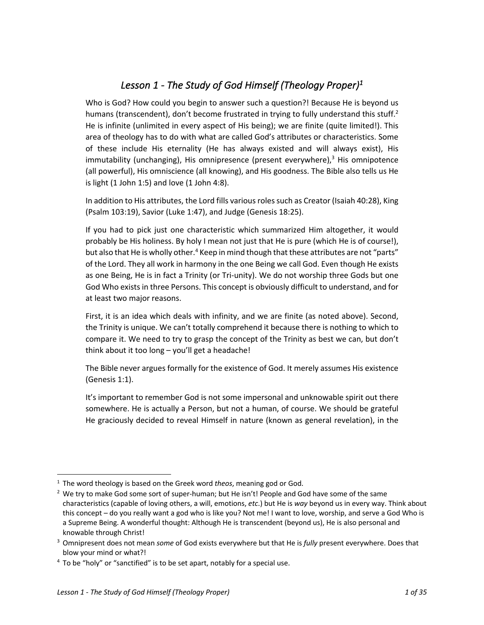## *Lesson 1 - The Study of God Himself (Theology Proper)1*

Who is God? How could you begin to answer such a question?! Because He is beyond us humans (transcendent), don't become frustrated in trying to fully understand this stuff.<sup>2</sup> He is infinite (unlimited in every aspect of His being); we are finite (quite limited!). This area of theology has to do with what are called God's attributes or characteristics. Some of these include His eternality (He has always existed and will always exist), His immutability (unchanging), His omnipresence (present everywhere), <sup>3</sup> His omnipotence (all powerful), His omniscience (all knowing), and His goodness. The Bible also tells us He is light  $(1$  John 1:5) and love  $(1$  John 4:8).

In addition to His attributes, the Lord fills various roles such as Creator (Isaiah 40:28), King (Psalm 103:19), Savior (Luke 1:47), and Judge (Genesis 18:25).

If you had to pick just one characteristic which summarized Him altogether, it would probably be His holiness. By holy I mean not just that He is pure (which He is of course!), but also that He is wholly other.<sup>4</sup> Keep in mind though that these attributes are not "parts" of the Lord. They all work in harmony in the one Being we call God. Even though He exists as one Being, He is in fact a Trinity (or Tri-unity). We do not worship three Gods but one God Who exists in three Persons. This concept is obviously difficult to understand, and for at least two major reasons.

First, it is an idea which deals with infinity, and we are finite (as noted above). Second, the Trinity is unique. We can't totally comprehend it because there is nothing to which to compare it. We need to try to grasp the concept of the Trinity as best we can, but don't think about it too long – you'll get a headache!

The Bible never argues formally for the existence of God. It merely assumes His existence (Genesis 1:1).

It's important to remember God is not some impersonal and unknowable spirit out there somewhere. He is actually a Person, but not a human, of course. We should be grateful He graciously decided to reveal Himself in nature (known as general revelation), in the

<sup>1</sup> The word theology is based on the Greek word *theos*, meaning god or God.

 $2$  We try to make God some sort of super-human; but He isn't! People and God have some of the same characteristics (capable of loving others, a will, emotions, *etc*.) but He is *way* beyond us in every way. Think about this concept – do you really want a god who is like you? Not me! I want to love, worship, and serve a God Who is a Supreme Being. A wonderful thought: Although He is transcendent (beyond us), He is also personal and knowable through Christ!

<sup>3</sup> Omnipresent does not mean *some* of God exists everywhere but that He is *fully* present everywhere. Does that blow your mind or what?!

 $4$  To be "holy" or "sanctified" is to be set apart, notably for a special use.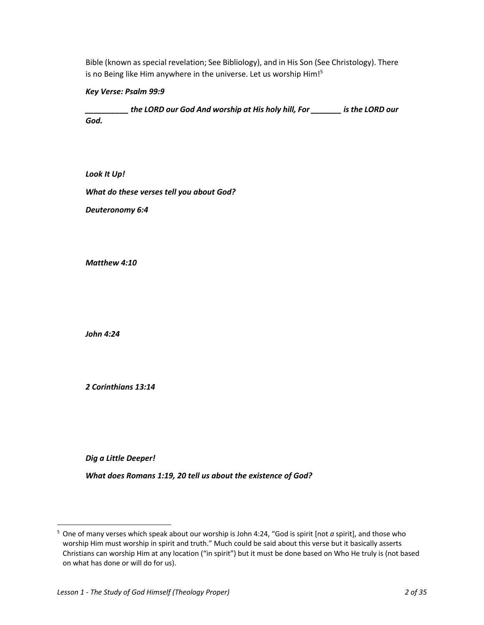Bible (known as special revelation; See Bibliology), and in His Son (See Christology). There is no Being like Him anywhere in the universe. Let us worship Him!<sup>5</sup>

*Key Verse: Psalm 99:9*

*\_\_\_\_\_\_\_\_\_\_ the LORD our God And worship at His holy hill, For \_\_\_\_\_\_\_ is the LORD our God.*

*Look It Up!*

*What do these verses tell you about God?*

*Deuteronomy 6:4*

*Matthew 4:10*

*John 4:24*

*2 Corinthians 13:14*

*Dig a Little Deeper!*

*What does Romans 1:19, 20 tell us about the existence of God?*

<sup>5</sup> One of many verses which speak about our worship is John 4:24, "God is spirit [not *a* spirit], and those who worship Him must worship in spirit and truth." Much could be said about this verse but it basically asserts Christians can worship Him at any location ("in spirit") but it must be done based on Who He truly is (not based on what has done or will do for us).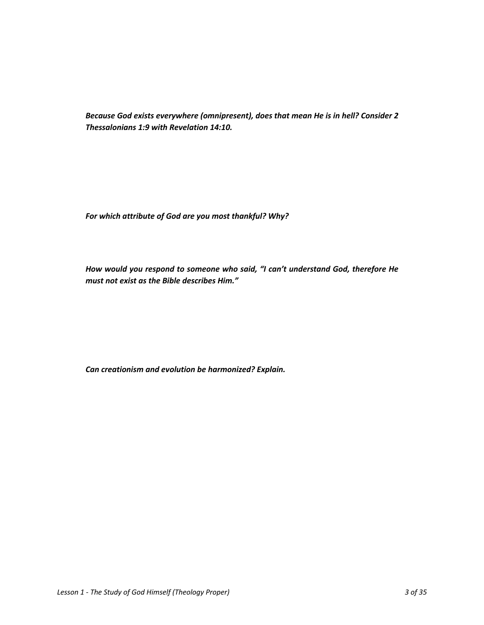*Because God exists everywhere (omnipresent), does that mean He is in hell? Consider 2 Thessalonians 1:9 with Revelation 14:10.*

*For which attribute of God are you most thankful? Why?*

*How would you respond to someone who said, "I can't understand God, therefore He must not exist as the Bible describes Him."*

*Can creationism and evolution be harmonized? Explain.*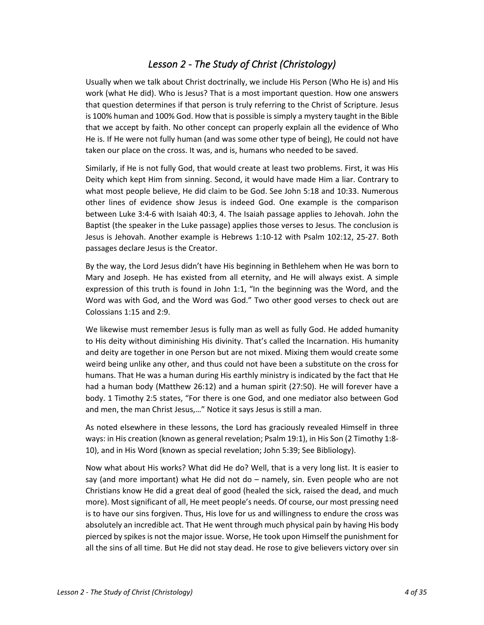## *Lesson 2 - The Study of Christ (Christology)*

Usually when we talk about Christ doctrinally, we include His Person (Who He is) and His work (what He did). Who is Jesus? That is a most important question. How one answers that question determines if that person is truly referring to the Christ of Scripture. Jesus is 100% human and 100% God. How that is possible is simply a mystery taught in the Bible that we accept by faith. No other concept can properly explain all the evidence of Who He is. If He were not fully human (and was some other type of being), He could not have taken our place on the cross. It was, and is, humans who needed to be saved.

Similarly, if He is not fully God, that would create at least two problems. First, it was His Deity which kept Him from sinning. Second, it would have made Him a liar. Contrary to what most people believe, He did claim to be God. See John 5:18 and 10:33. Numerous other lines of evidence show Jesus is indeed God. One example is the comparison between Luke 3:4-6 with Isaiah 40:3, 4. The Isaiah passage applies to Jehovah. John the Baptist (the speaker in the Luke passage) applies those verses to Jesus. The conclusion is Jesus is Jehovah. Another example is Hebrews 1:10-12 with Psalm 102:12, 25-27. Both passages declare Jesus is the Creator.

By the way, the Lord Jesus didn't have His beginning in Bethlehem when He was born to Mary and Joseph. He has existed from all eternity, and He will always exist. A simple expression of this truth is found in John 1:1, "In the beginning was the Word, and the Word was with God, and the Word was God." Two other good verses to check out are Colossians 1:15 and 2:9.

We likewise must remember Jesus is fully man as well as fully God. He added humanity to His deity without diminishing His divinity. That's called the Incarnation. His humanity and deity are together in one Person but are not mixed. Mixing them would create some weird being unlike any other, and thus could not have been a substitute on the cross for humans. That He was a human during His earthly ministry is indicated by the fact that He had a human body (Matthew 26:12) and a human spirit (27:50). He will forever have a body. 1 Timothy 2:5 states, "For there is one God, and one mediator also between God and men, the man Christ Jesus,…" Notice it says Jesus is still a man.

As noted elsewhere in these lessons, the Lord has graciously revealed Himself in three ways: in His creation (known as general revelation; Psalm 19:1), in His Son (2 Timothy 1:8- 10), and in His Word (known as special revelation; John 5:39; See Bibliology).

Now what about His works? What did He do? Well, that is a very long list. It is easier to say (and more important) what He did not do – namely, sin. Even people who are not Christians know He did a great deal of good (healed the sick, raised the dead, and much more). Most significant of all, He meet people's needs. Of course, our most pressing need is to have our sins forgiven. Thus, His love for us and willingness to endure the cross was absolutely an incredible act. That He went through much physical pain by having His body pierced by spikes is not the major issue. Worse, He took upon Himself the punishment for all the sins of all time. But He did not stay dead. He rose to give believers victory over sin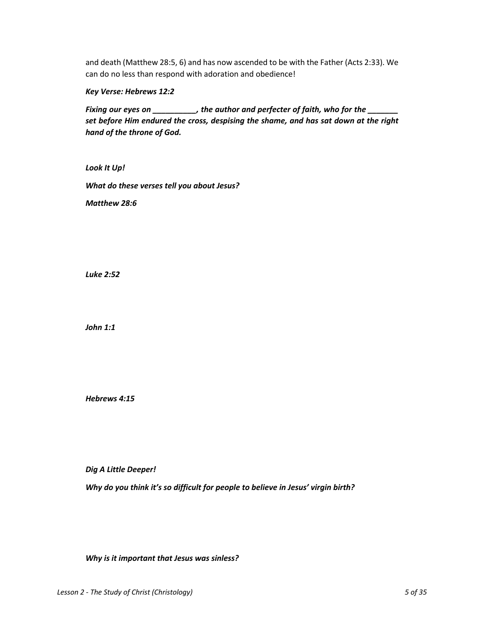and death (Matthew 28:5, 6) and has now ascended to be with the Father (Acts 2:33). We can do no less than respond with adoration and obedience!

*Key Verse: Hebrews 12:2*

*Fixing our eyes on \_\_\_\_\_\_\_\_\_\_, the author and perfecter of faith, who for the \_\_\_\_\_\_\_ set before Him endured the cross, despising the shame, and has sat down at the right hand of the throne of God.*

*Look It Up! What do these verses tell you about Jesus?*

*Matthew 28:6*

*Luke 2:52*

*John 1:1*

*Hebrews 4:15*

*Dig A Little Deeper!*

*Why do you think it's so difficult for people to believe in Jesus' virgin birth?*

*Why is it important that Jesus was sinless?*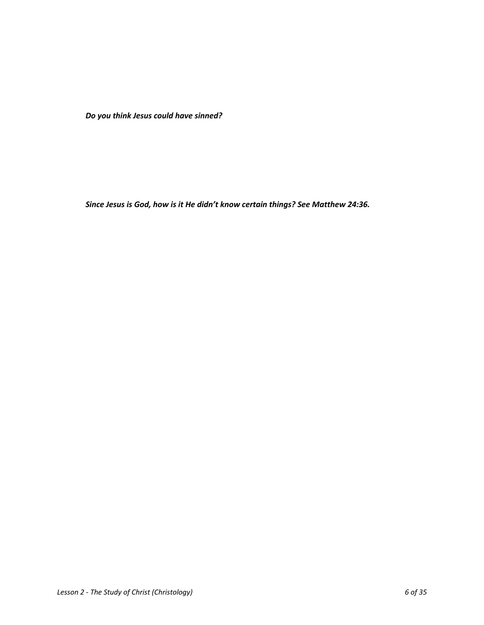*Do you think Jesus could have sinned?*

*Since Jesus is God, how is it He didn't know certain things? See Matthew 24:36.*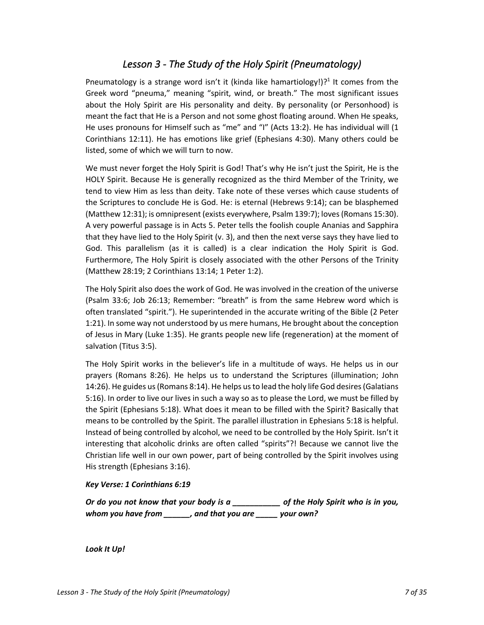### *Lesson 3 - The Study of the Holy Spirit (Pneumatology)*

Pneumatology is a strange word isn't it (kinda like hamartiology!)?<sup>1</sup> It comes from the Greek word "pneuma," meaning "spirit, wind, or breath." The most significant issues about the Holy Spirit are His personality and deity. By personality (or Personhood) is meant the fact that He is a Person and not some ghost floating around. When He speaks, He uses pronouns for Himself such as "me" and "I" (Acts 13:2). He has individual will (1 Corinthians 12:11). He has emotions like grief (Ephesians 4:30). Many others could be listed, some of which we will turn to now.

We must never forget the Holy Spirit is God! That's why He isn't just the Spirit, He is the HOLY Spirit. Because He is generally recognized as the third Member of the Trinity, we tend to view Him as less than deity. Take note of these verses which cause students of the Scriptures to conclude He is God. He: is eternal (Hebrews 9:14); can be blasphemed (Matthew 12:31); is omnipresent (exists everywhere, Psalm 139:7); loves(Romans 15:30). A very powerful passage is in Acts 5. Peter tells the foolish couple Ananias and Sapphira that they have lied to the Holy Spirit (v. 3), and then the next verse says they have lied to God. This parallelism (as it is called) is a clear indication the Holy Spirit is God. Furthermore, The Holy Spirit is closely associated with the other Persons of the Trinity (Matthew 28:19; 2 Corinthians 13:14; 1 Peter 1:2).

The Holy Spirit also does the work of God. He was involved in the creation of the universe (Psalm 33:6; Job 26:13; Remember: "breath" is from the same Hebrew word which is often translated "spirit."). He superintended in the accurate writing of the Bible (2 Peter 1:21). In some way not understood by us mere humans, He brought about the conception of Jesus in Mary (Luke 1:35). He grants people new life (regeneration) at the moment of salvation (Titus 3:5).

The Holy Spirit works in the believer's life in a multitude of ways. He helps us in our prayers (Romans 8:26). He helps us to understand the Scriptures (illumination; John 14:26). He guides us (Romans 8:14). He helps us to lead the holy life God desires (Galatians 5:16). In order to live our lives in such a way so as to please the Lord, we must be filled by the Spirit (Ephesians 5:18). What does it mean to be filled with the Spirit? Basically that means to be controlled by the Spirit. The parallel illustration in Ephesians 5:18 is helpful. Instead of being controlled by alcohol, we need to be controlled by the Holy Spirit. Isn't it interesting that alcoholic drinks are often called "spirits"?! Because we cannot live the Christian life well in our own power, part of being controlled by the Spirit involves using His strength (Ephesians 3:16).

### *Key Verse: 1 Corinthians 6:19*

*Or do you not know that your body is a \_\_\_\_\_\_\_\_\_\_\_ of the Holy Spirit who is in you, whom you have from \_\_\_\_\_\_, and that you are \_\_\_\_\_ your own?*

*Look It Up!*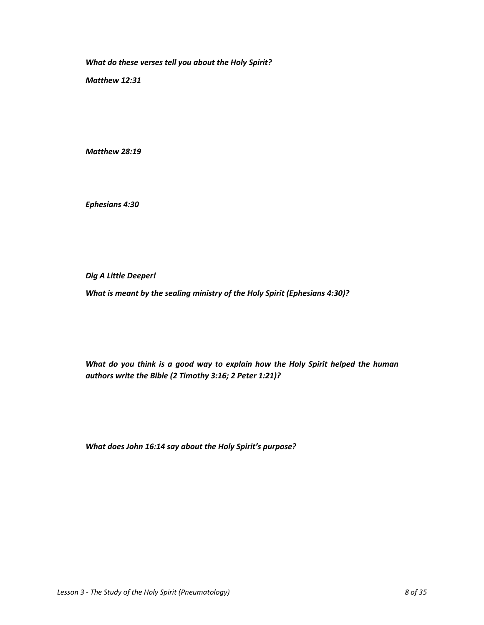*What do these verses tell you about the Holy Spirit?*

*Matthew 12:31*

*Matthew 28:19*

*Ephesians 4:30*

*Dig A Little Deeper!*

*What is meant by the sealing ministry of the Holy Spirit (Ephesians 4:30)?*

*What do you think is a good way to explain how the Holy Spirit helped the human authors write the Bible (2 Timothy 3:16; 2 Peter 1:21)?*

*What does John 16:14 say about the Holy Spirit's purpose?*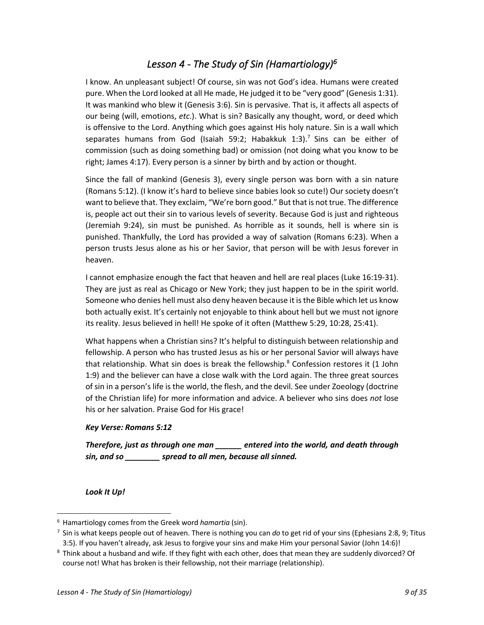### *Lesson 4 - The Study of Sin (Hamartiology)6*

I know. An unpleasant subject! Of course, sin was not God's idea. Humans were created pure. When the Lord looked at all He made, He judged it to be "very good" (Genesis 1:31). It was mankind who blew it (Genesis 3:6). Sin is pervasive. That is, it affects all aspects of our being (will, emotions, *etc*.). What is sin? Basically any thought, word, or deed which is offensive to the Lord. Anything which goes against His holy nature. Sin is a wall which separates humans from God (Isaiah 59:2; Habakkuk 1:3).<sup>7</sup> Sins can be either of commission (such as doing something bad) or omission (not doing what you know to be right; James 4:17). Every person is a sinner by birth and by action or thought.

Since the fall of mankind (Genesis 3), every single person was born with a sin nature (Romans 5:12). (I know it's hard to believe since babies look so cute!) Our society doesn't want to believe that. They exclaim, "We're born good." But that is not true. The difference is, people act out their sin to various levels of severity. Because God is just and righteous (Jeremiah 9:24), sin must be punished. As horrible as it sounds, hell is where sin is punished. Thankfully, the Lord has provided a way of salvation (Romans 6:23). When a person trusts Jesus alone as his or her Savior, that person will be with Jesus forever in heaven.

I cannot emphasize enough the fact that heaven and hell are real places (Luke 16:19-31). They are just as real as Chicago or New York; they just happen to be in the spirit world. Someone who denies hell must also deny heaven because it is the Bible which let us know both actually exist. It's certainly not enjoyable to think about hell but we must not ignore its reality. Jesus believed in hell! He spoke of it often (Matthew 5:29, 10:28, 25:41).

What happens when a Christian sins? It's helpful to distinguish between relationship and fellowship. A person who has trusted Jesus as his or her personal Savior will always have that relationship. What sin does is break the fellowship. $8$  Confession restores it (1 John 1:9) and the believer can have a close walk with the Lord again. The three great sources of sin in a person's life is the world, the flesh, and the devil. See under Zoeology (doctrine of the Christian life) for more information and advice. A believer who sins does *not* lose his or her salvation. Praise God for His grace!

### *Key Verse: Romans 5:12*

*Therefore, just as through one man \_\_\_\_\_\_ entered into the world, and death through sin, and so \_\_\_\_\_\_\_\_ spread to all men, because all sinned.*

*Look It Up!*

<sup>6</sup> Hamartiology comes from the Greek word *hamartia* (sin).

<sup>7</sup> Sin is what keeps people out of heaven. There is nothing you can *do* to get rid of your sins (Ephesians 2:8, 9; Titus 3:5). If you haven't already, ask Jesus to forgive your sins and make Him your personal Savior (John 14:6)!

<sup>8</sup> Think about a husband and wife. If they fight with each other, does that mean they are suddenly divorced? Of course not! What has broken is their fellowship, not their marriage (relationship).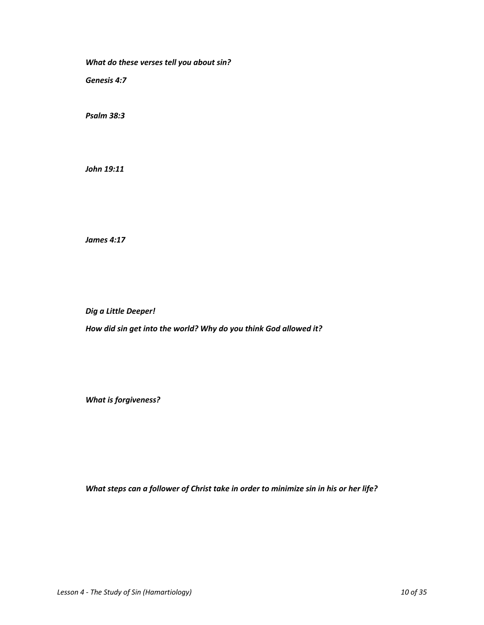*What do these verses tell you about sin?*

*Genesis 4:7*

*Psalm 38:3*

*John 19:11*

*James 4:17*

*Dig a Little Deeper!*

*How did sin get into the world? Why do you think God allowed it?*

*What is forgiveness?*

*What steps can a follower of Christ take in order to minimize sin in his or her life?*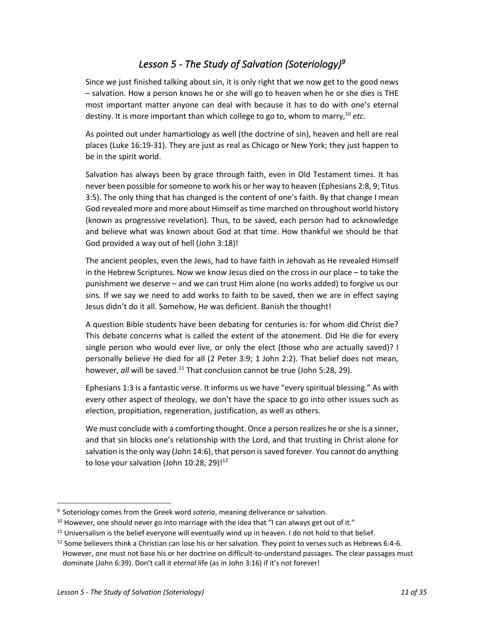## *Lesson 5 - The Study of Salvation (Soteriology)9*

Since we just finished talking about sin, it is only right that we now get to the good news – salvation. How a person knows he or she will go to heaven when he or she dies is THE most important matter anyone can deal with because it has to do with one's eternal destiny. It is more important than which college to go to, whom to marry, <sup>10</sup> *etc*.

As pointed out under hamartiology as well (the doctrine of sin), heaven and hell are real places (Luke 16:19-31). They are just as real as Chicago or New York; they just happen to be in the spirit world.

Salvation has always been by grace through faith, even in Old Testament times. It has never been possible for someone to work his or her way to heaven (Ephesians 2:8, 9; Titus 3:5). The only thing that has changed is the content of one's faith. By that change I mean God revealed more and more about Himself as time marched on throughout world history (known as progressive revelation). Thus, to be saved, each person had to acknowledge and believe what was known about God at that time. How thankful we should be that God provided a way out of hell (John 3:18)!

The ancient peoples, even the Jews, had to have faith in Jehovah as He revealed Himself in the Hebrew Scriptures. Now we know Jesus died on the cross in our place – to take the punishment we deserve – and we can trust Him alone (no works added) to forgive us our sins. If we say we need to add works to faith to be saved, then we are in effect saying Jesus didn't do it all. Somehow, He was deficient. Banish the thought!

A question Bible students have been debating for centuries is: for whom did Christ die? This debate concerns what is called the extent of the atonement. Did He die for every single person who would ever live, or only the elect (those who are actually saved)? I personally believe He died for all (2 Peter 3:9; 1 John 2:2). That belief does not mean, however, *all* will be saved.<sup>11</sup> That conclusion cannot be true (John 5:28, 29).

Ephesians 1:3 is a fantastic verse. It informs us we have "every spiritual blessing." As with every other aspect of theology, we don't have the space to go into other issues such as election, propitiation, regeneration, justification, as well as others.

We must conclude with a comforting thought. Once a person realizes he or she is a sinner, and that sin blocks one's relationship with the Lord, and that trusting in Christ alone for salvation is the only way (John 14:6), that person is saved forever. You cannot do anything to lose your salvation (John 10:28, 29)! $12$ 

<sup>9</sup> Soteriology comes from the Greek word *soteria*, meaning deliverance or salvation.

 $10$  However, one should never go into marriage with the idea that "I can always get out of it."

<sup>&</sup>lt;sup>11</sup> Universalism is the belief everyone will eventually wind up in heaven. I do not hold to that belief.

 $12$  Some believers think a Christian can lose his or her salvation. They point to verses such as Hebrews 6:4-6. However, one must not base his or her doctrine on difficult-to-understand passages. The clear passages must dominate (John 6:39). Don't call it *eternal* life (as in John 3:16) if it's not forever!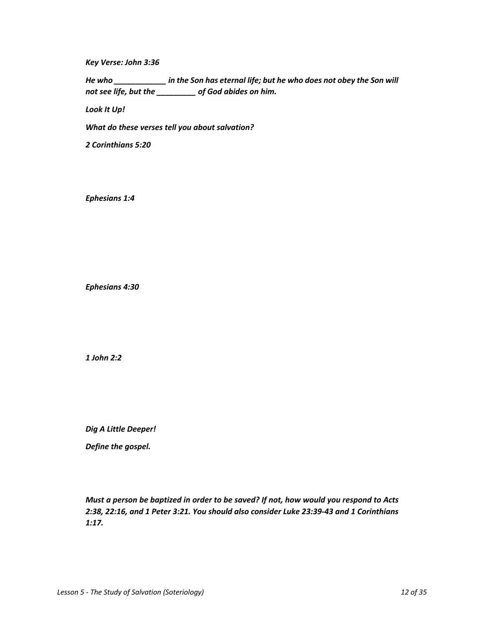*Key Verse: John 3:36*

*He who \_\_\_\_\_\_\_\_\_\_\_\_ in the Son has eternal life; but he who does not obey the Son will not see life, but the \_\_\_\_\_\_\_\_\_ of God abides on him.*

*Look It Up!*

*What do these verses tell you about salvation?*

*2 Corinthians 5:20*

*Ephesians 1:4*

*Ephesians 4:30*

*1 John 2:2*

*Dig A Little Deeper!*

*Define the gospel.*

*Must a person be baptized in order to be saved? If not, how would you respond to Acts 2:38, 22:16, and 1 Peter 3:21. You should also consider Luke 23:39-43 and 1 Corinthians 1:17.*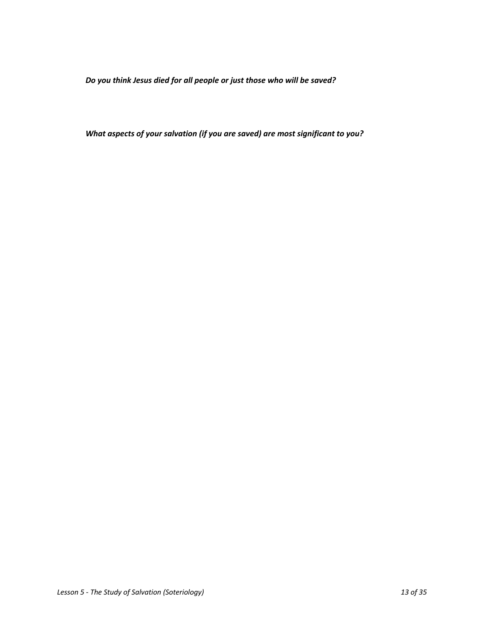*Do you think Jesus died for all people or just those who will be saved?*

*What aspects of your salvation (if you are saved) are most significant to you?*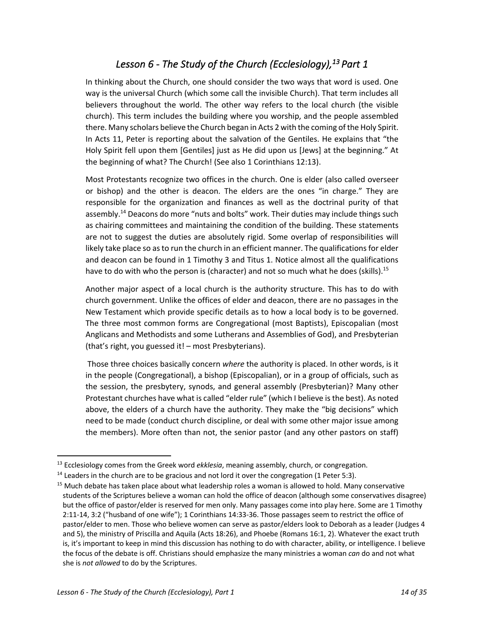## *Lesson 6 - The Study of the Church (Ecclesiology),13 Part 1*

In thinking about the Church, one should consider the two ways that word is used. One way is the universal Church (which some call the invisible Church). That term includes all believers throughout the world. The other way refers to the local church (the visible church). This term includes the building where you worship, and the people assembled there. Many scholars believe the Church began in Acts 2 with the coming of the Holy Spirit. In Acts 11, Peter is reporting about the salvation of the Gentiles. He explains that "the Holy Spirit fell upon them [Gentiles] just as He did upon us [Jews] at the beginning." At the beginning of what? The Church! (See also 1 Corinthians 12:13).

Most Protestants recognize two offices in the church. One is elder (also called overseer or bishop) and the other is deacon. The elders are the ones "in charge." They are responsible for the organization and finances as well as the doctrinal purity of that assembly.<sup>14</sup> Deacons do more "nuts and bolts" work. Their duties may include things such as chairing committees and maintaining the condition of the building. These statements are not to suggest the duties are absolutely rigid. Some overlap of responsibilities will likely take place so as to run the church in an efficient manner. The qualifications for elder and deacon can be found in 1 Timothy 3 and Titus 1. Notice almost all the qualifications have to do with who the person is (character) and not so much what he does (skills).<sup>15</sup>

Another major aspect of a local church is the authority structure. This has to do with church government. Unlike the offices of elder and deacon, there are no passages in the New Testament which provide specific details as to how a local body is to be governed. The three most common forms are Congregational (most Baptists), Episcopalian (most Anglicans and Methodists and some Lutherans and Assemblies of God), and Presbyterian (that's right, you guessed it! – most Presbyterians).

Those three choices basically concern *where* the authority is placed. In other words, is it in the people (Congregational), a bishop (Episcopalian), or in a group of officials, such as the session, the presbytery, synods, and general assembly (Presbyterian)? Many other Protestant churches have what is called "elder rule" (which I believe is the best). As noted above, the elders of a church have the authority. They make the "big decisions" which need to be made (conduct church discipline, or deal with some other major issue among the members). More often than not, the senior pastor (and any other pastors on staff)

<sup>13</sup> Ecclesiology comes from the Greek word *ekklesia*, meaning assembly, church, or congregation.

 $14$  Leaders in the church are to be gracious and not lord it over the congregation (1 Peter 5:3).

<sup>&</sup>lt;sup>15</sup> Much debate has taken place about what leadership roles a woman is allowed to hold. Many conservative students of the Scriptures believe a woman can hold the office of deacon (although some conservatives disagree) but the office of pastor/elder is reserved for men only. Many passages come into play here. Some are 1 Timothy 2:11-14, 3:2 ("husband of one wife"); 1 Corinthians 14:33-36. Those passages seem to restrict the office of pastor/elder to men. Those who believe women can serve as pastor/elders look to Deborah as a leader (Judges 4 and 5), the ministry of Priscilla and Aquila (Acts 18:26), and Phoebe (Romans 16:1, 2). Whatever the exact truth is, it's important to keep in mind this discussion has nothing to do with character, ability, or intelligence. I believe the focus of the debate is off. Christians should emphasize the many ministries a woman *can* do and not what she is *not allowed* to do by the Scriptures.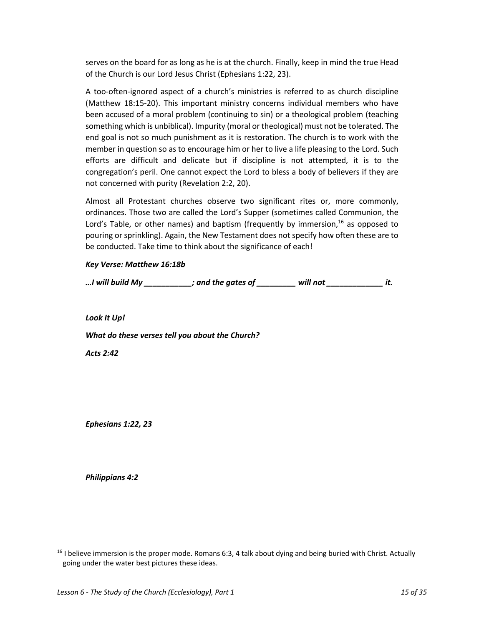serves on the board for as long as he is at the church. Finally, keep in mind the true Head of the Church is our Lord Jesus Christ (Ephesians 1:22, 23).

A too-often-ignored aspect of a church's ministries is referred to as church discipline (Matthew 18:15-20). This important ministry concerns individual members who have been accused of a moral problem (continuing to sin) or a theological problem (teaching something which is unbiblical). Impurity (moral or theological) must not be tolerated. The end goal is not so much punishment as it is restoration. The church is to work with the member in question so as to encourage him or her to live a life pleasing to the Lord. Such efforts are difficult and delicate but if discipline is not attempted, it is to the congregation's peril. One cannot expect the Lord to bless a body of believers if they are not concerned with purity (Revelation 2:2, 20).

Almost all Protestant churches observe two significant rites or, more commonly, ordinances. Those two are called the Lord's Supper (sometimes called Communion, the Lord's Table, or other names) and baptism (frequently by immersion,  $^{16}$  as opposed to pouring or sprinkling). Again, the New Testament does not specify how often these are to be conducted. Take time to think about the significance of each!

### *Key Verse: Matthew 16:18b*

*…I will build My \_\_\_\_\_\_\_\_\_\_\_; and the gates of \_\_\_\_\_\_\_\_\_ will not \_\_\_\_\_\_\_\_\_\_\_\_\_ it.*

*Look It Up!*

*What do these verses tell you about the Church?*

*Acts 2:42*

*Ephesians 1:22, 23*

*Philippians 4:2*

<sup>&</sup>lt;sup>16</sup> I believe immersion is the proper mode. Romans 6:3, 4 talk about dying and being buried with Christ. Actually going under the water best pictures these ideas.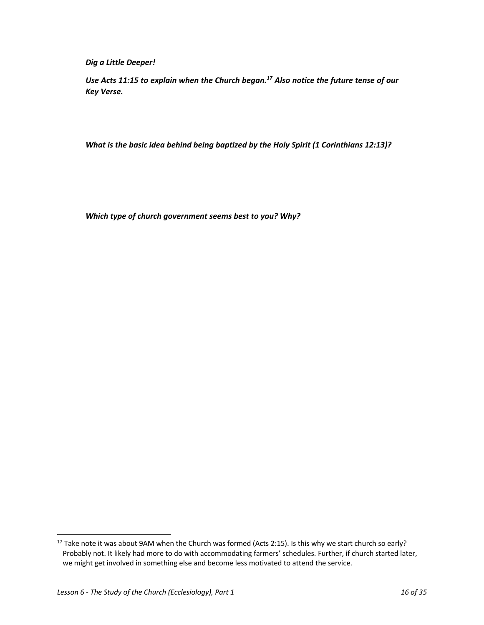*Dig a Little Deeper!*

*Use Acts 11:15 to explain when the Church began.17 Also notice the future tense of our Key Verse.*

*What is the basic idea behind being baptized by the Holy Spirit (1 Corinthians 12:13)?*

*Which type of church government seems best to you? Why?*

<sup>&</sup>lt;sup>17</sup> Take note it was about 9AM when the Church was formed (Acts 2:15). Is this why we start church so early? Probably not. It likely had more to do with accommodating farmers' schedules. Further, if church started later, we might get involved in something else and become less motivated to attend the service.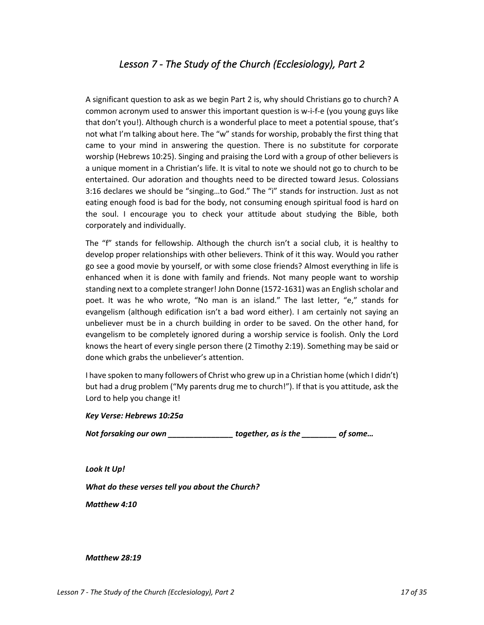## *Lesson 7 - The Study of the Church (Ecclesiology), Part 2*

A significant question to ask as we begin Part 2 is, why should Christians go to church? A common acronym used to answer this important question is w-i-f-e (you young guys like that don't you!). Although church is a wonderful place to meet a potential spouse, that's not what I'm talking about here. The "w" stands for worship, probably the first thing that came to your mind in answering the question. There is no substitute for corporate worship (Hebrews 10:25). Singing and praising the Lord with a group of other believers is a unique moment in a Christian's life. It is vital to note we should not go to church to be entertained. Our adoration and thoughts need to be directed toward Jesus. Colossians 3:16 declares we should be "singing…to God." The "i" stands for instruction. Just as not eating enough food is bad for the body, not consuming enough spiritual food is hard on the soul. I encourage you to check your attitude about studying the Bible, both corporately and individually.

The "f" stands for fellowship. Although the church isn't a social club, it is healthy to develop proper relationships with other believers. Think of it this way. Would you rather go see a good movie by yourself, or with some close friends? Almost everything in life is enhanced when it is done with family and friends. Not many people want to worship standing next to a complete stranger! John Donne (1572-1631) was an English scholar and poet. It was he who wrote, "No man is an island." The last letter, "e," stands for evangelism (although edification isn't a bad word either). I am certainly not saying an unbeliever must be in a church building in order to be saved. On the other hand, for evangelism to be completely ignored during a worship service is foolish. Only the Lord knows the heart of every single person there (2 Timothy 2:19). Something may be said or done which grabs the unbeliever's attention.

I have spoken to many followers of Christ who grew up in a Christian home (which I didn't) but had a drug problem ("My parents drug me to church!"). If that is you attitude, ask the Lord to help you change it!

#### *Key Verse: Hebrews 10:25a*

*Not forsaking our own \_\_\_\_\_\_\_\_\_\_\_\_\_\_\_ together, as is the \_\_\_\_\_\_\_\_ of some…*

*Look It Up!*

*What do these verses tell you about the Church?*

*Matthew 4:10*

#### *Matthew 28:19*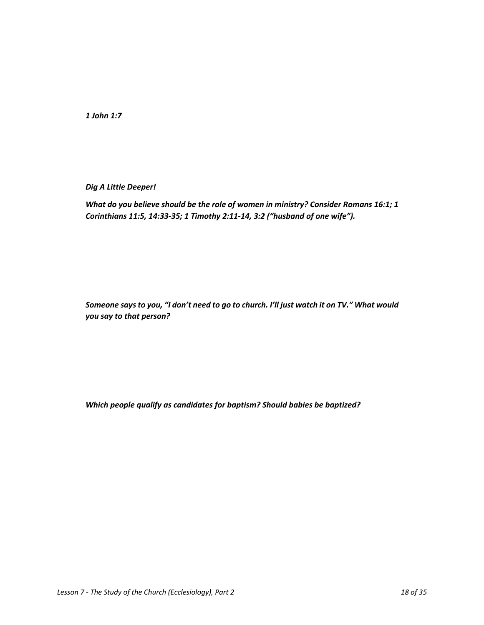*1 John 1:7*

*Dig A Little Deeper!*

*What do you believe should be the role of women in ministry? Consider Romans 16:1; 1 Corinthians 11:5, 14:33-35; 1 Timothy 2:11-14, 3:2 ("husband of one wife").*

*Someone says to you, "I don't need to go to church. I'll just watch it on TV." What would you say to that person?*

*Which people qualify as candidates for baptism? Should babies be baptized?*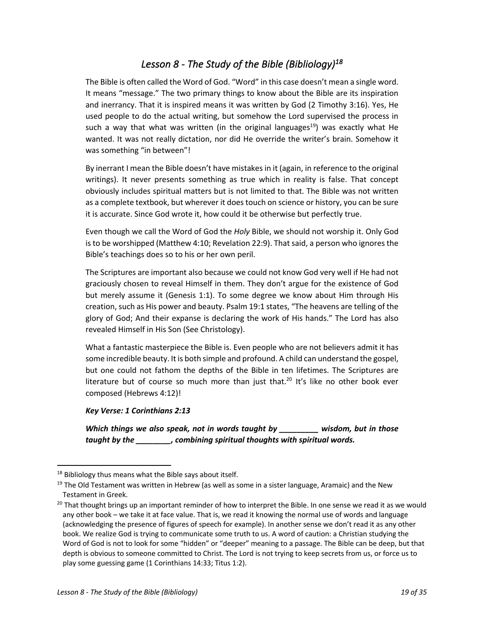### *Lesson 8 - The Study of the Bible (Bibliology)18*

The Bible is often called the Word of God. "Word" in this case doesn't mean a single word. It means "message." The two primary things to know about the Bible are its inspiration and inerrancy. That it is inspired means it was written by God (2 Timothy 3:16). Yes, He used people to do the actual writing, but somehow the Lord supervised the process in such a way that what was written (in the original languages<sup>19</sup>) was exactly what He wanted. It was not really dictation, nor did He override the writer's brain. Somehow it was something "in between"!

By inerrant I mean the Bible doesn't have mistakes in it (again, in reference to the original writings). It never presents something as true which in reality is false. That concept obviously includes spiritual matters but is not limited to that. The Bible was not written as a complete textbook, but wherever it does touch on science or history, you can be sure it is accurate. Since God wrote it, how could it be otherwise but perfectly true.

Even though we call the Word of God the *Holy* Bible, we should not worship it. Only God is to be worshipped (Matthew 4:10; Revelation 22:9). That said, a person who ignores the Bible's teachings does so to his or her own peril.

The Scriptures are important also because we could not know God very well if He had not graciously chosen to reveal Himself in them. They don't argue for the existence of God but merely assume it (Genesis 1:1). To some degree we know about Him through His creation, such as His power and beauty. Psalm 19:1 states, "The heavens are telling of the glory of God; And their expanse is declaring the work of His hands." The Lord has also revealed Himself in His Son (See Christology).

What a fantastic masterpiece the Bible is. Even people who are not believers admit it has some incredible beauty. It is both simple and profound. A child can understand the gospel, but one could not fathom the depths of the Bible in ten lifetimes. The Scriptures are literature but of course so much more than just that.<sup>20</sup> It's like no other book ever composed (Hebrews 4:12)!

### *Key Verse: 1 Corinthians 2:13*

*Which things we also speak, not in words taught by \_\_\_\_\_\_\_\_\_ wisdom, but in those taught by the \_\_\_\_\_\_\_\_, combining spiritual thoughts with spiritual words.*

 $18$  Bibliology thus means what the Bible says about itself.

<sup>&</sup>lt;sup>19</sup> The Old Testament was written in Hebrew (as well as some in a sister language, Aramaic) and the New Testament in Greek.

<sup>&</sup>lt;sup>20</sup> That thought brings up an important reminder of how to interpret the Bible. In one sense we read it as we would any other book – we take it at face value. That is, we read it knowing the normal use of words and language (acknowledging the presence of figures of speech for example). In another sense we don't read it as any other book. We realize God is trying to communicate some truth to us. A word of caution: a Christian studying the Word of God is not to look for some "hidden" or "deeper" meaning to a passage. The Bible can be deep, but that depth is obvious to someone committed to Christ. The Lord is not trying to keep secrets from us, or force us to play some guessing game (1 Corinthians 14:33; Titus 1:2).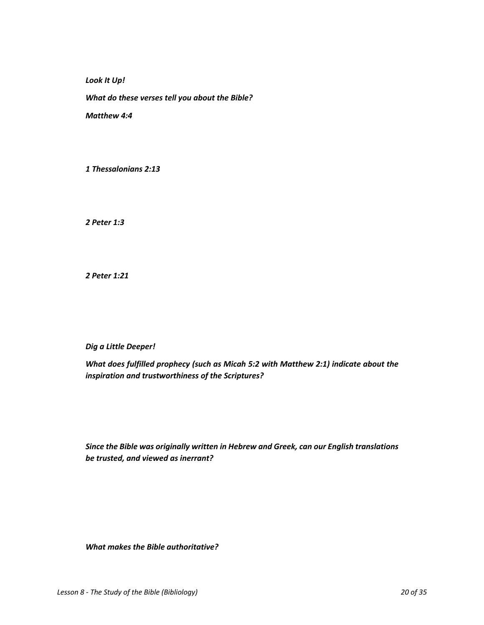*Look It Up!*

*What do these verses tell you about the Bible?*

*Matthew 4:4*

*1 Thessalonians 2:13*

*2 Peter 1:3*

*2 Peter 1:21*

*Dig a Little Deeper!*

*What does fulfilled prophecy (such as Micah 5:2 with Matthew 2:1) indicate about the inspiration and trustworthiness of the Scriptures?* 

*Since the Bible was originally written in Hebrew and Greek, can our English translations be trusted, and viewed as inerrant?*

*What makes the Bible authoritative?*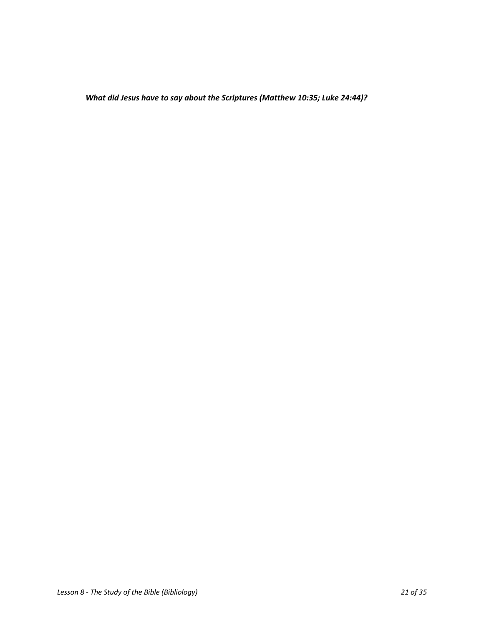*What did Jesus have to say about the Scriptures (Matthew 10:35; Luke 24:44)?*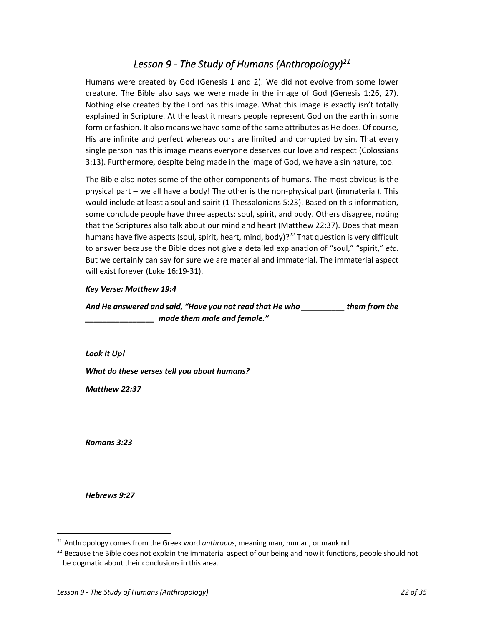### *Lesson 9 - The Study of Humans (Anthropology)21*

Humans were created by God (Genesis 1 and 2). We did not evolve from some lower creature. The Bible also says we were made in the image of God (Genesis 1:26, 27). Nothing else created by the Lord has this image. What this image is exactly isn't totally explained in Scripture. At the least it means people represent God on the earth in some form or fashion. It also means we have some of the same attributes as He does. Of course, His are infinite and perfect whereas ours are limited and corrupted by sin. That every single person has this image means everyone deserves our love and respect (Colossians 3:13). Furthermore, despite being made in the image of God, we have a sin nature, too.

The Bible also notes some of the other components of humans. The most obvious is the physical part – we all have a body! The other is the non-physical part (immaterial). This would include at least a soul and spirit (1 Thessalonians 5:23). Based on this information, some conclude people have three aspects: soul, spirit, and body. Others disagree, noting that the Scriptures also talk about our mind and heart (Matthew 22:37). Does that mean humans have five aspects (soul, spirit, heart, mind, body)?<sup>22</sup> That question is very difficult to answer because the Bible does not give a detailed explanation of "soul," "spirit," *etc*. But we certainly can say for sure we are material and immaterial. The immaterial aspect will exist forever (Luke 16:19-31).

### *Key Verse: Matthew 19:4*

*And He answered and said, "Have you not read that He who \_\_\_\_\_\_\_\_\_\_ them from the \_\_\_\_\_\_\_\_\_\_\_\_\_\_\_\_ made them male and female."*

*Look It Up! What do these verses tell you about humans? Matthew 22:37*

*Romans 3:23*

*Hebrews 9:27*

<sup>21</sup> Anthropology comes from the Greek word *anthropos*, meaning man, human, or mankind.

<sup>&</sup>lt;sup>22</sup> Because the Bible does not explain the immaterial aspect of our being and how it functions, people should not be dogmatic about their conclusions in this area.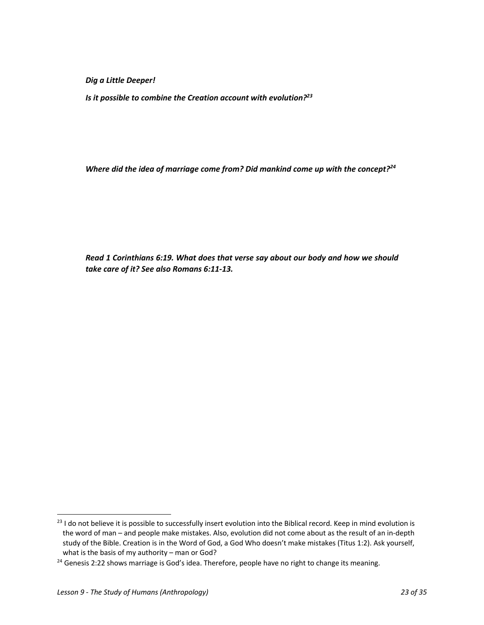*Dig a Little Deeper!*

*Is it possible to combine the Creation account with evolution?23*

*Where did the idea of marriage come from? Did mankind come up with the concept?24*

*Read 1 Corinthians 6:19. What does that verse say about our body and how we should take care of it? See also Romans 6:11-13.*

<sup>&</sup>lt;sup>23</sup> I do not believe it is possible to successfully insert evolution into the Biblical record. Keep in mind evolution is the word of man – and people make mistakes. Also, evolution did not come about as the result of an in-depth study of the Bible. Creation is in the Word of God, a God Who doesn't make mistakes (Titus 1:2). Ask yourself, what is the basis of my authority – man or God?

 $24$  Genesis 2:22 shows marriage is God's idea. Therefore, people have no right to change its meaning.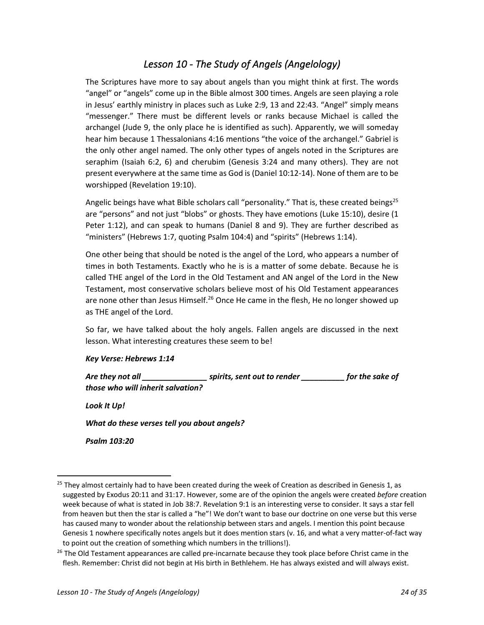## *Lesson 10 - The Study of Angels (Angelology)*

The Scriptures have more to say about angels than you might think at first. The words "angel" or "angels" come up in the Bible almost 300 times. Angels are seen playing a role in Jesus' earthly ministry in places such as Luke 2:9, 13 and 22:43. "Angel" simply means "messenger." There must be different levels or ranks because Michael is called the archangel (Jude 9, the only place he is identified as such). Apparently, we will someday hear him because 1 Thessalonians 4:16 mentions "the voice of the archangel." Gabriel is the only other angel named. The only other types of angels noted in the Scriptures are seraphim (Isaiah 6:2, 6) and cherubim (Genesis 3:24 and many others). They are not present everywhere at the same time as God is (Daniel 10:12-14). None of them are to be worshipped (Revelation 19:10).

Angelic beings have what Bible scholars call "personality." That is, these created beings<sup>25</sup> are "persons" and not just "blobs" or ghosts. They have emotions (Luke 15:10), desire (1 Peter 1:12), and can speak to humans (Daniel 8 and 9). They are further described as "ministers" (Hebrews 1:7, quoting Psalm 104:4) and "spirits" (Hebrews 1:14).

One other being that should be noted is the angel of the Lord, who appears a number of times in both Testaments. Exactly who he is is a matter of some debate. Because he is called THE angel of the Lord in the Old Testament and AN angel of the Lord in the New Testament, most conservative scholars believe most of his Old Testament appearances are none other than Jesus Himself.<sup>26</sup> Once He came in the flesh, He no longer showed up as THE angel of the Lord.

So far, we have talked about the holy angels. Fallen angels are discussed in the next lesson. What interesting creatures these seem to be!

### *Key Verse: Hebrews 1:14*

*Are they not all \_\_\_\_\_\_\_\_\_\_\_\_\_\_\_ spirits, sent out to render \_\_\_\_\_\_\_\_\_\_ for the sake of those who will inherit salvation?*

*Look It Up!*

*What do these verses tell you about angels?*

*Psalm 103:20*

 $25$  They almost certainly had to have been created during the week of Creation as described in Genesis 1, as suggested by Exodus 20:11 and 31:17. However, some are of the opinion the angels were created *before* creation week because of what is stated in Job 38:7. Revelation 9:1 is an interesting verse to consider. It says a star fell from heaven but then the star is called a "he"! We don't want to base our doctrine on one verse but this verse has caused many to wonder about the relationship between stars and angels. I mention this point because Genesis 1 nowhere specifically notes angels but it does mention stars (v. 16, and what a very matter-of-fact way to point out the creation of something which numbers in the trillions!).

<sup>&</sup>lt;sup>26</sup> The Old Testament appearances are called pre-incarnate because they took place before Christ came in the flesh. Remember: Christ did not begin at His birth in Bethlehem. He has always existed and will always exist.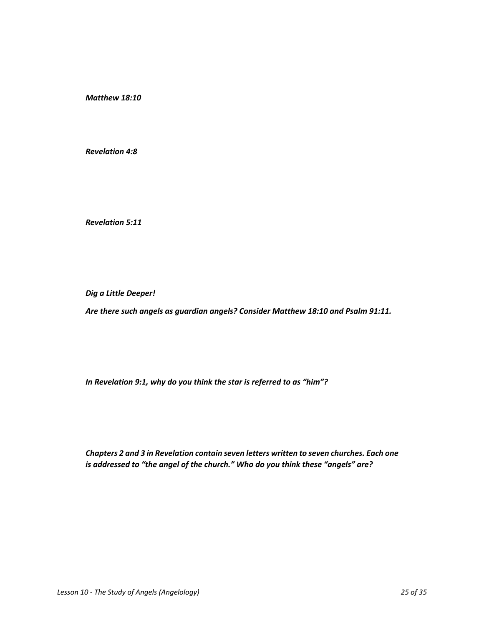*Matthew 18:10*

*Revelation 4:8*

*Revelation 5:11*

*Dig a Little Deeper!*

*Are there such angels as guardian angels? Consider Matthew 18:10 and Psalm 91:11.*

*In Revelation 9:1, why do you think the star is referred to as "him"?*

*Chapters 2 and 3 in Revelation contain seven letters written to seven churches. Each one is addressed to "the angel of the church." Who do you think these "angels" are?*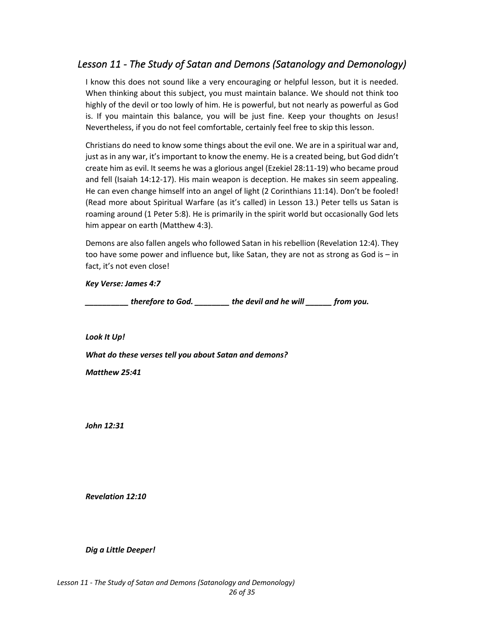## *Lesson 11 - The Study of Satan and Demons (Satanology and Demonology)*

I know this does not sound like a very encouraging or helpful lesson, but it is needed. When thinking about this subject, you must maintain balance. We should not think too highly of the devil or too lowly of him. He is powerful, but not nearly as powerful as God is. If you maintain this balance, you will be just fine. Keep your thoughts on Jesus! Nevertheless, if you do not feel comfortable, certainly feel free to skip this lesson.

Christians do need to know some things about the evil one. We are in a spiritual war and, just as in any war, it's important to know the enemy. He is a created being, but God didn't create him as evil. It seems he was a glorious angel (Ezekiel 28:11-19) who became proud and fell (Isaiah 14:12-17). His main weapon is deception. He makes sin seem appealing. He can even change himself into an angel of light (2 Corinthians 11:14). Don't be fooled! (Read more about Spiritual Warfare (as it's called) in Lesson 13.) Peter tells us Satan is roaming around (1 Peter 5:8). He is primarily in the spirit world but occasionally God lets him appear on earth (Matthew 4:3).

Demons are also fallen angels who followed Satan in his rebellion (Revelation 12:4). They too have some power and influence but, like Satan, they are not as strong as God is – in fact, it's not even close!

*Key Verse: James 4:7*

*\_\_\_\_\_\_\_\_\_\_ therefore to God. \_\_\_\_\_\_\_\_ the devil and he will \_\_\_\_\_\_ from you.*

*Look It Up!*

*What do these verses tell you about Satan and demons?*

*Matthew 25:41*

*John 12:31*

*Revelation 12:10*

*Dig a Little Deeper!*

*Lesson 11 - The Study of Satan and Demons (Satanology and Demonology) 26 of 35*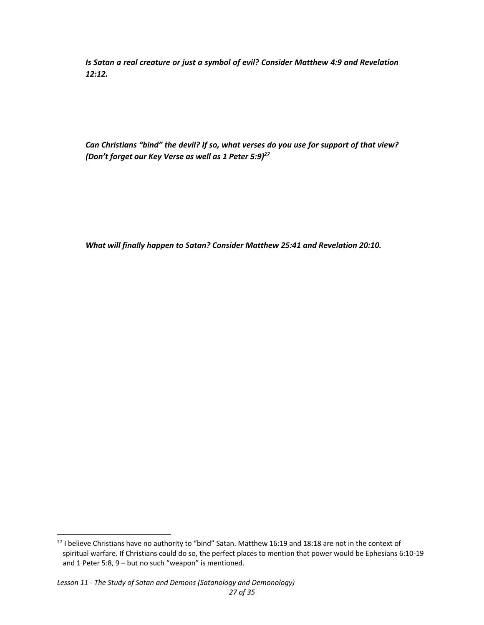*Is Satan a real creature or just a symbol of evil? Consider Matthew 4:9 and Revelation 12:12.*

*Can Christians "bind" the devil? If so, what verses do you use for support of that view? (Don't forget our Key Verse as well as 1 Peter 5:9)27*

*What will finally happen to Satan? Consider Matthew 25:41 and Revelation 20:10.*

### *Lesson 11 - The Study of Satan and Demons (Satanology and Demonology)*

<sup>&</sup>lt;sup>27</sup> I believe Christians have no authority to "bind" Satan. Matthew 16:19 and 18:18 are not in the context of spiritual warfare. If Christians could do so, the perfect places to mention that power would be Ephesians 6:10-19 and 1 Peter 5:8, 9 – but no such "weapon" is mentioned.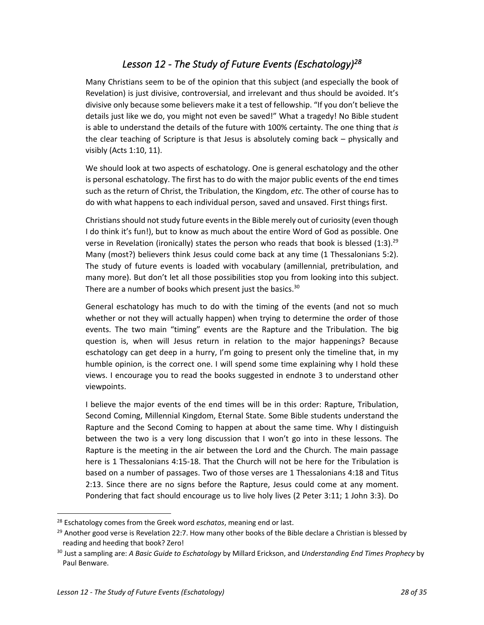# *Lesson 12 - The Study of Future Events (Eschatology)28*

Many Christians seem to be of the opinion that this subject (and especially the book of Revelation) is just divisive, controversial, and irrelevant and thus should be avoided. It's divisive only because some believers make it a test of fellowship. "If you don't believe the details just like we do, you might not even be saved!" What a tragedy! No Bible student is able to understand the details of the future with 100% certainty. The one thing that *is*  the clear teaching of Scripture is that Jesus is absolutely coming back – physically and visibly (Acts 1:10, 11).

We should look at two aspects of eschatology. One is general eschatology and the other is personal eschatology. The first has to do with the major public events of the end times such as the return of Christ, the Tribulation, the Kingdom, *etc*. The other of course has to do with what happens to each individual person, saved and unsaved. First things first.

Christians should not study future events in the Bible merely out of curiosity (even though I do think it's fun!), but to know as much about the entire Word of God as possible. One verse in Revelation (ironically) states the person who reads that book is blessed  $(1:3)$ .<sup>29</sup> Many (most?) believers think Jesus could come back at any time (1 Thessalonians 5:2). The study of future events is loaded with vocabulary (amillennial, pretribulation, and many more). But don't let all those possibilities stop you from looking into this subject. There are a number of books which present just the basics.<sup>30</sup>

General eschatology has much to do with the timing of the events (and not so much whether or not they will actually happen) when trying to determine the order of those events. The two main "timing" events are the Rapture and the Tribulation. The big question is, when will Jesus return in relation to the major happenings? Because eschatology can get deep in a hurry, I'm going to present only the timeline that, in my humble opinion, is the correct one. I will spend some time explaining why I hold these views. I encourage you to read the books suggested in endnote 3 to understand other viewpoints.

I believe the major events of the end times will be in this order: Rapture, Tribulation, Second Coming, Millennial Kingdom, Eternal State. Some Bible students understand the Rapture and the Second Coming to happen at about the same time. Why I distinguish between the two is a very long discussion that I won't go into in these lessons. The Rapture is the meeting in the air between the Lord and the Church. The main passage here is 1 Thessalonians 4:15-18. That the Church will not be here for the Tribulation is based on a number of passages. Two of those verses are 1 Thessalonians 4:18 and Titus 2:13. Since there are no signs before the Rapture, Jesus could come at any moment. Pondering that fact should encourage us to live holy lives (2 Peter 3:11; 1 John 3:3). Do

<sup>28</sup> Eschatology comes from the Greek word *eschatos*, meaning end or last.

 $29$  Another good verse is Revelation 22:7. How many other books of the Bible declare a Christian is blessed by reading and heeding that book? Zero!

<sup>30</sup> Just a sampling are: *A Basic Guide to Eschatology* by Millard Erickson, and *Understanding End Times Prophecy* by Paul Benware.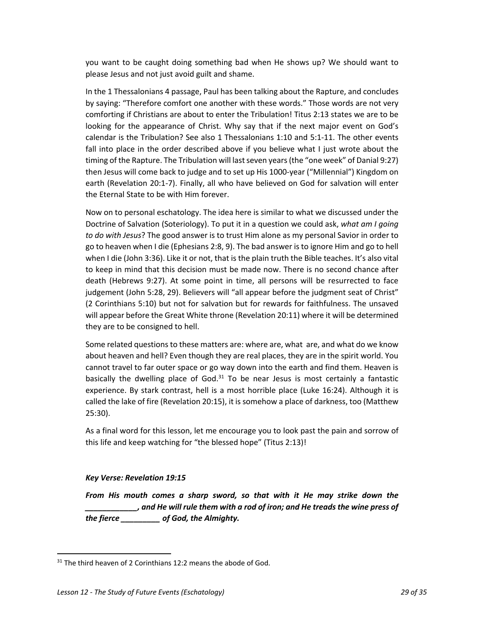you want to be caught doing something bad when He shows up? We should want to please Jesus and not just avoid guilt and shame.

In the 1 Thessalonians 4 passage, Paul has been talking about the Rapture, and concludes by saying: "Therefore comfort one another with these words." Those words are not very comforting if Christians are about to enter the Tribulation! Titus 2:13 states we are to be looking for the appearance of Christ. Why say that if the next major event on God's calendar is the Tribulation? See also 1 Thessalonians 1:10 and 5:1-11. The other events fall into place in the order described above if you believe what I just wrote about the timing of the Rapture. The Tribulation will last seven years (the "one week" of Danial 9:27) then Jesus will come back to judge and to set up His 1000-year ("Millennial") Kingdom on earth (Revelation 20:1-7). Finally, all who have believed on God for salvation will enter the Eternal State to be with Him forever.

Now on to personal eschatology. The idea here is similar to what we discussed under the Doctrine of Salvation (Soteriology). To put it in a question we could ask, *what am I going to do with Jesus*? The good answer is to trust Him alone as my personal Savior in order to go to heaven when I die (Ephesians 2:8, 9). The bad answer is to ignore Him and go to hell when I die (John 3:36). Like it or not, that is the plain truth the Bible teaches. It's also vital to keep in mind that this decision must be made now. There is no second chance after death (Hebrews 9:27). At some point in time, all persons will be resurrected to face judgement (John 5:28, 29). Believers will "all appear before the judgment seat of Christ" (2 Corinthians 5:10) but not for salvation but for rewards for faithfulness. The unsaved will appear before the Great White throne (Revelation 20:11) where it will be determined they are to be consigned to hell.

Some related questions to these matters are: where are, what are, and what do we know about heaven and hell? Even though they are real places, they are in the spirit world. You cannot travel to far outer space or go way down into the earth and find them. Heaven is basically the dwelling place of God. $31$  To be near Jesus is most certainly a fantastic experience. By stark contrast, hell is a most horrible place (Luke 16:24). Although it is called the lake of fire (Revelation 20:15), it is somehow a place of darkness, too (Matthew 25:30).

As a final word for this lesson, let me encourage you to look past the pain and sorrow of this life and keep watching for "the blessed hope" (Titus 2:13)!

### *Key Verse: Revelation 19:15*

*From His mouth comes a sharp sword, so that with it He may strike down the \_\_\_\_\_\_\_\_\_\_\_\_, and He will rule them with a rod of iron; and He treads the wine press of the fierce \_\_\_\_\_\_\_\_\_ of God, the Almighty.*

 $31$  The third heaven of 2 Corinthians 12:2 means the abode of God.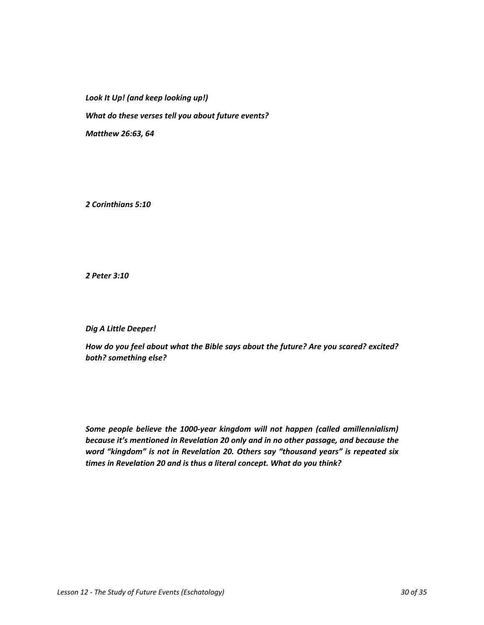*Look It Up! (and keep looking up!)*

*What do these verses tell you about future events?*

*Matthew 26:63, 64*

*2 Corinthians 5:10*

*2 Peter 3:10*

*Dig A Little Deeper!*

*How do you feel about what the Bible says about the future? Are you scared? excited? both? something else?*

*Some people believe the 1000-year kingdom will not happen (called amillennialism) because it's mentioned in Revelation 20 only and in no other passage, and because the word "kingdom" is not in Revelation 20. Others say "thousand years" is repeated six times in Revelation 20 and is thus a literal concept. What do you think?*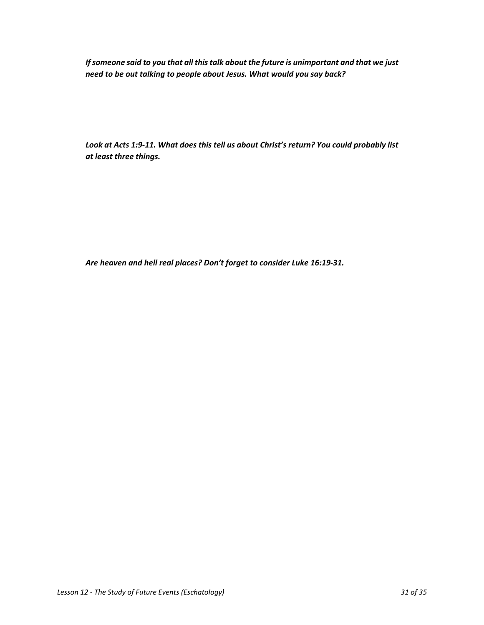*If someone said to you that all this talk about the future is unimportant and that we just need to be out talking to people about Jesus. What would you say back?*

*Look at Acts 1:9-11. What does this tell us about Christ's return? You could probably list at least three things.*

*Are heaven and hell real places? Don't forget to consider Luke 16:19-31.*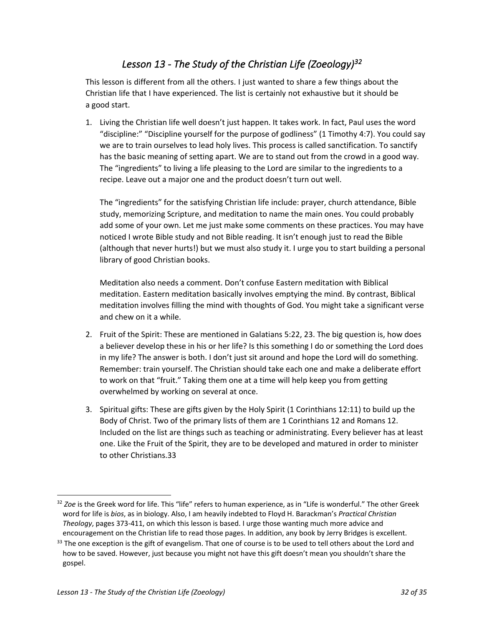## *Lesson 13 - The Study of the Christian Life (Zoeology)32*

This lesson is different from all the others. I just wanted to share a few things about the Christian life that I have experienced. The list is certainly not exhaustive but it should be a good start.

1. Living the Christian life well doesn't just happen. It takes work. In fact, Paul uses the word "discipline:" "Discipline yourself for the purpose of godliness" (1 Timothy 4:7). You could say we are to train ourselves to lead holy lives. This process is called sanctification. To sanctify has the basic meaning of setting apart. We are to stand out from the crowd in a good way. The "ingredients" to living a life pleasing to the Lord are similar to the ingredients to a recipe. Leave out a major one and the product doesn't turn out well.

The "ingredients" for the satisfying Christian life include: prayer, church attendance, Bible study, memorizing Scripture, and meditation to name the main ones. You could probably add some of your own. Let me just make some comments on these practices. You may have noticed I wrote Bible study and not Bible reading. It isn't enough just to read the Bible (although that never hurts!) but we must also study it. I urge you to start building a personal library of good Christian books.

Meditation also needs a comment. Don't confuse Eastern meditation with Biblical meditation. Eastern meditation basically involves emptying the mind. By contrast, Biblical meditation involves filling the mind with thoughts of God. You might take a significant verse and chew on it a while.

- 2. Fruit of the Spirit: These are mentioned in Galatians 5:22, 23. The big question is, how does a believer develop these in his or her life? Is this something I do or something the Lord does in my life? The answer is both. I don't just sit around and hope the Lord will do something. Remember: train yourself. The Christian should take each one and make a deliberate effort to work on that "fruit." Taking them one at a time will help keep you from getting overwhelmed by working on several at once.
- 3. Spiritual gifts: These are gifts given by the Holy Spirit (1 Corinthians 12:11) to build up the Body of Christ. Two of the primary lists of them are 1 Corinthians 12 and Romans 12. Included on the list are things such as teaching or administrating. Every believer has at least one. Like the Fruit of the Spirit, they are to be developed and matured in order to minister to other Christians.33

<sup>32</sup> *Zoe* is the Greek word for life. This "life" refers to human experience, as in "Life is wonderful." The other Greek word for life is *bios*, as in biology. Also, I am heavily indebted to Floyd H. Barackman's *Practical Christian Theology*, pages 373-411, on which this lesson is based. I urge those wanting much more advice and encouragement on the Christian life to read those pages. In addition, any book by Jerry Bridges is excellent.

 $33$  The one exception is the gift of evangelism. That one of course is to be used to tell others about the Lord and how to be saved. However, just because you might not have this gift doesn't mean you shouldn't share the gospel.